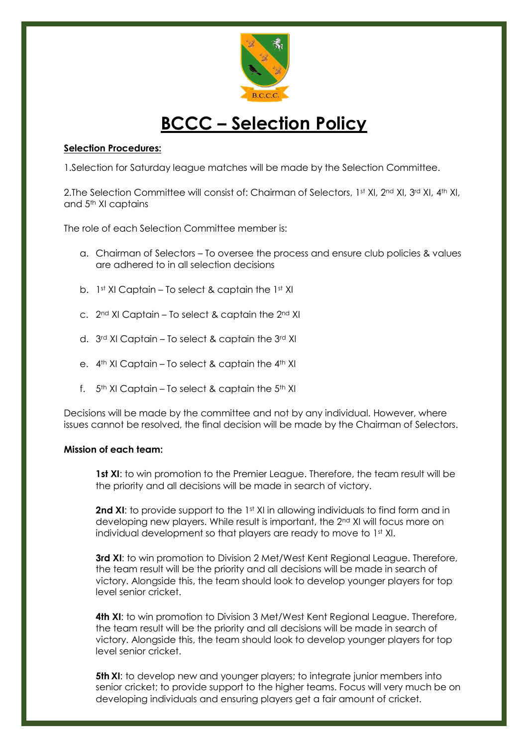

## **BCCC – Selection Policy**

## **Selection Procedures:**

1.Selection for Saturday league matches will be made by the Selection Committee.

2.The Selection Committee will consist of: Chairman of Selectors, 1st XI, 2nd XI, 3rd XI, 4th XI, and 5th XI captains

The role of each Selection Committee member is:

- a. Chairman of Selectors To oversee the process and ensure club policies & values are adhered to in all selection decisions
- b. 1st XI Captain To select & captain the 1st XI
- c. 2nd XI Captain To select & captain the 2nd XI
- d. 3rd XI Captain To select & captain the 3rd XI
- e. 4<sup>th</sup> XI Captain To select & captain the 4<sup>th</sup> XI
- f.  $5<sup>th</sup>$  XI Captain To select & captain the  $5<sup>th</sup>$  XI

Decisions will be made by the committee and not by any individual. However, where issues cannot be resolved, the final decision will be made by the Chairman of Selectors.

## **Mission of each team:**

**1st XI**: to win promotion to the Premier League. Therefore, the team result will be the priority and all decisions will be made in search of victory.

**2nd XI**: to provide support to the 1st XI in allowing individuals to find form and in developing new players. While result is important, the 2nd XI will focus more on individual development so that players are ready to move to 1st XI.

**3rd XI:** to win promotion to Division 2 Met/West Kent Regional League. Therefore, the team result will be the priority and all decisions will be made in search of victory. Alongside this, the team should look to develop younger players for top level senior cricket.

**4th XI**: to win promotion to Division 3 Met/West Kent Regional League. Therefore, the team result will be the priority and all decisions will be made in search of victory. Alongside this, the team should look to develop younger players for top level senior cricket.

**5th XI**: to develop new and younger players; to integrate junior members into senior cricket; to provide support to the higher teams. Focus will very much be on developing individuals and ensuring players get a fair amount of cricket.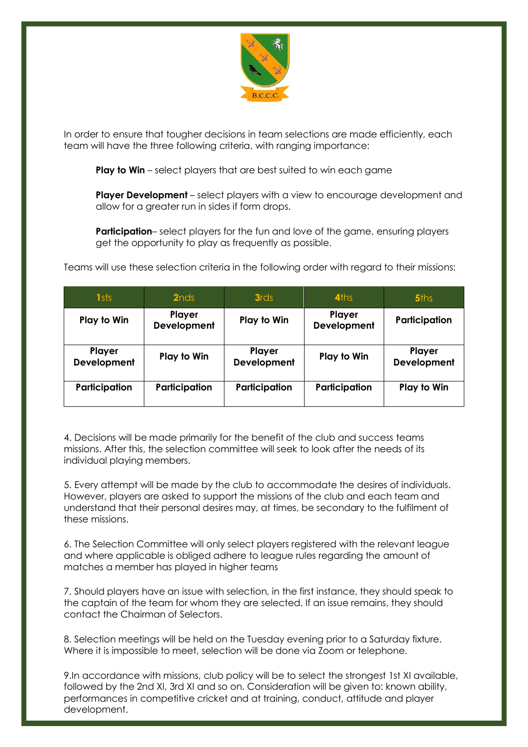

In order to ensure that tougher decisions in team selections are made efficiently, each team will have the three following criteria, with ranging importance:

**Play to Win** – select players that are best suited to win each game

**Player Development** – select players with a view to encourage development and allow for a greater run in sides if form drops.

**Participation**– select players for the fun and love of the game, ensuring players get the opportunity to play as frequently as possible.

Teams will use these selection criteria in the following order with regard to their missions:

| 1sts                  | 2 <sub>nds</sub>      | <b>3rds</b>           | 4ths                  | <b>5ths</b>           |
|-----------------------|-----------------------|-----------------------|-----------------------|-----------------------|
| Play to Win           | Player<br>Development | Play to Win           | Player<br>Development | Participation         |
| Player<br>Development | Play to Win           | Player<br>Development | Play to Win           | Player<br>Development |
| Participation         | Participation         | Participation         | Participation         | Play to Win           |

4. Decisions will be made primarily for the benefit of the club and success teams missions. After this, the selection committee will seek to look after the needs of its individual playing members.

5. Every attempt will be made by the club to accommodate the desires of individuals. However, players are asked to support the missions of the club and each team and understand that their personal desires may, at times, be secondary to the fulfilment of these missions.

6. The Selection Committee will only select players registered with the relevant league and where applicable is obliged adhere to league rules regarding the amount of matches a member has played in higher teams

7. Should players have an issue with selection, in the first instance, they should speak to the captain of the team for whom they are selected. If an issue remains, they should contact the Chairman of Selectors.

8. Selection meetings will be held on the Tuesday evening prior to a Saturday fixture. Where it is impossible to meet, selection will be done via Zoom or telephone.

9.In accordance with missions, club policy will be to select the strongest 1st XI available, followed by the 2nd XI, 3rd XI and so on. Consideration will be given to: known ability, performances in competitive cricket and at training, conduct, attitude and player development.